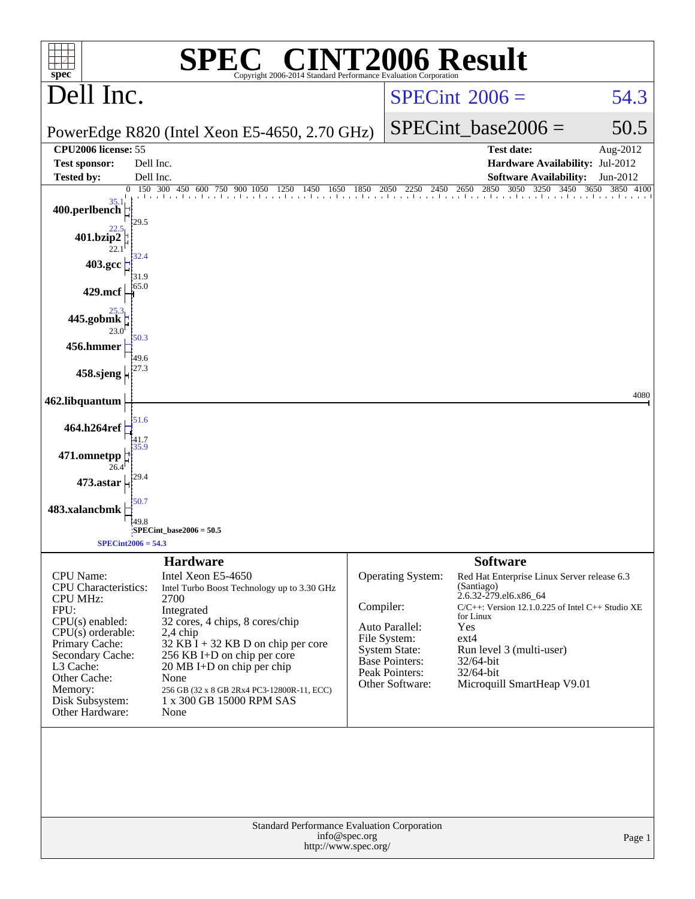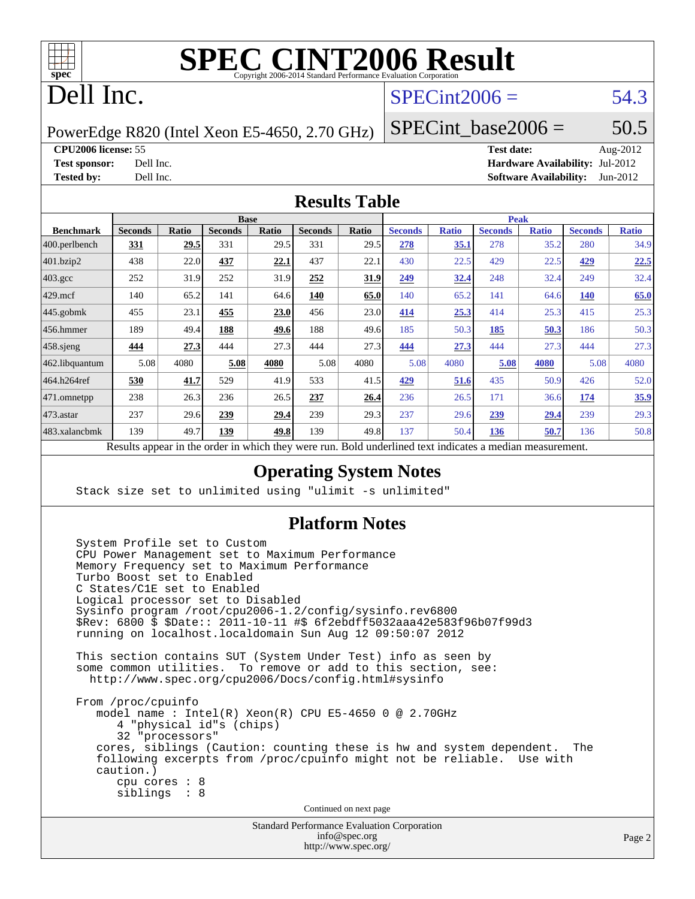

# Dell Inc.

## $SPECint2006 = 54.3$  $SPECint2006 = 54.3$

PowerEdge R820 (Intel Xeon E5-4650, 2.70 GHz)

SPECint base2006 =  $50.5$ 

**[CPU2006 license:](http://www.spec.org/auto/cpu2006/Docs/result-fields.html#CPU2006license)** 55 **[Test date:](http://www.spec.org/auto/cpu2006/Docs/result-fields.html#Testdate)** Aug-2012 **[Test sponsor:](http://www.spec.org/auto/cpu2006/Docs/result-fields.html#Testsponsor)** Dell Inc. **[Hardware Availability:](http://www.spec.org/auto/cpu2006/Docs/result-fields.html#HardwareAvailability)** Jul-2012 **[Tested by:](http://www.spec.org/auto/cpu2006/Docs/result-fields.html#Testedby)** Dell Inc. **[Software Availability:](http://www.spec.org/auto/cpu2006/Docs/result-fields.html#SoftwareAvailability)** Jun-2012

### **[Results Table](http://www.spec.org/auto/cpu2006/Docs/result-fields.html#ResultsTable)**

|                    | <b>Base</b>                                       |       |                |              |                | <b>Peak</b> |                                                     |              |                |              |                |              |
|--------------------|---------------------------------------------------|-------|----------------|--------------|----------------|-------------|-----------------------------------------------------|--------------|----------------|--------------|----------------|--------------|
| <b>Benchmark</b>   | <b>Seconds</b>                                    | Ratio | <b>Seconds</b> | <b>Ratio</b> | <b>Seconds</b> | Ratio       | <b>Seconds</b>                                      | <b>Ratio</b> | <b>Seconds</b> | <b>Ratio</b> | <b>Seconds</b> | <b>Ratio</b> |
| 400.perlbench      | 331                                               | 29.5  | 331            | 29.5         | 331            | 29.5        | 278                                                 | 35.1         | 278            | 35.2         | 280            | 34.9         |
| 401.bzip2          | 438                                               | 22.0  | 437            | 22.1         | 437            | 22.1        | 430                                                 | 22.5         | 429            | 22.5         | 429            | 22.5         |
| $403.\mathrm{gcc}$ | 252                                               | 31.9  | 252            | 31.9         | 252            | 31.9        | 249                                                 | 32.4         | 248            | 32.4         | 249            | 32.4         |
| $429$ .mcf         | 140                                               | 65.2  | 141            | 64.6         | 140            | 65.0        | 140                                                 | 65.2         | 141            | 64.6         | <b>140</b>     | 65.0         |
| $445$ .gobmk       | 455                                               | 23.1  | 455            | 23.0         | 456            | 23.0        | 414                                                 | 25.3         | 414            | 25.3         | 415            | 25.3         |
| $456.$ hmmer       | 189                                               | 49.4  | 188            | 49.6         | 188            | 49.6        | 185                                                 | 50.3         | 185            | 50.3         | 186            | 50.3         |
| $458$ .sjeng       | 444                                               | 27.3  | 444            | 27.3         | 444            | 27.3        | 444                                                 | 27.3         | 444            | 27.3         | 444            | 27.3         |
| 462.libquantum     | 5.08                                              | 4080  | 5.08           | 4080         | 5.08           | 4080        | 5.08                                                | 4080         | 5.08           | 4080         | 5.08           | 4080         |
| 464.h264ref        | 530                                               | 41.7  | 529            | 41.9         | 533            | 41.5        | 429                                                 | 51.6         | 435            | 50.9         | 426            | 52.0         |
| 471.omnetpp        | 238                                               | 26.3  | 236            | 26.5         | 237            | 26.4        | 236                                                 | 26.5         | 171            | 36.6         | 174            | 35.9         |
| $473.$ astar       | 237                                               | 29.6  | 239            | 29.4         | 239            | 29.3        | 237                                                 | 29.6         | 239            | 29.4         | 239            | 29.3         |
| 483.xalancbmk      | 139                                               | 49.7  | 139            | 49.8         | 139            | 49.8        | 137                                                 | 50.4         | 136            | 50.7         | 136            | 50.8         |
|                    | Decute ennoye in the order in which they were mun |       |                |              |                |             | Dold underlined text indicates a madien measurement |              |                |              |                |              |

Results appear in the [order in which they were run.](http://www.spec.org/auto/cpu2006/Docs/result-fields.html#RunOrder) Bold underlined text [indicates a median measurement.](http://www.spec.org/auto/cpu2006/Docs/result-fields.html#Median)

### **[Operating System Notes](http://www.spec.org/auto/cpu2006/Docs/result-fields.html#OperatingSystemNotes)**

Stack size set to unlimited using "ulimit -s unlimited"

### **[Platform Notes](http://www.spec.org/auto/cpu2006/Docs/result-fields.html#PlatformNotes)**

 System Profile set to Custom CPU Power Management set to Maximum Performance Memory Frequency set to Maximum Performance Turbo Boost set to Enabled C States/C1E set to Enabled Logical processor set to Disabled Sysinfo program /root/cpu2006-1.2/config/sysinfo.rev6800 \$Rev: 6800 \$ \$Date:: 2011-10-11 #\$ 6f2ebdff5032aaa42e583f96b07f99d3 running on localhost.localdomain Sun Aug 12 09:50:07 2012 This section contains SUT (System Under Test) info as seen by some common utilities. To remove or add to this section, see: <http://www.spec.org/cpu2006/Docs/config.html#sysinfo> From /proc/cpuinfo model name : Intel(R) Xeon(R) CPU E5-4650 0 @ 2.70GHz 4 "physical id"s (chips) 32 "processors" cores, siblings (Caution: counting these is hw and system dependent. The following excerpts from /proc/cpuinfo might not be reliable. Use with caution.) cpu cores : 8 siblings : 8 Continued on next page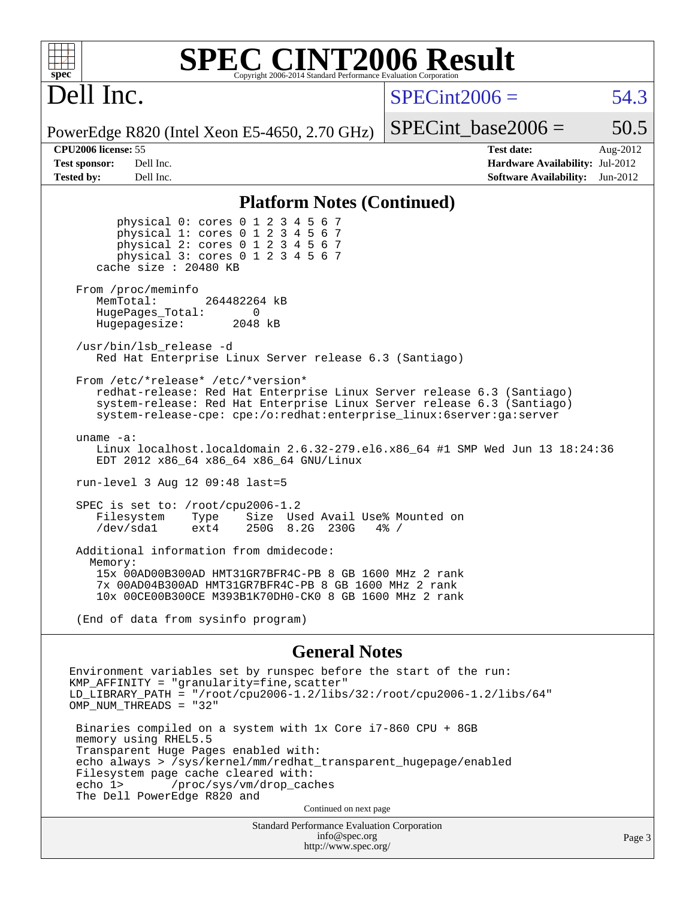# Dell Inc.

 $SPECint2006 = 54.3$  $SPECint2006 = 54.3$ 

PowerEdge R820 (Intel Xeon E5-4650, 2.70 GHz)

SPECint base2006 =  $50.5$ 

**[CPU2006 license:](http://www.spec.org/auto/cpu2006/Docs/result-fields.html#CPU2006license)** 55 **[Test date:](http://www.spec.org/auto/cpu2006/Docs/result-fields.html#Testdate)** Aug-2012 **[Test sponsor:](http://www.spec.org/auto/cpu2006/Docs/result-fields.html#Testsponsor)** Dell Inc. **[Hardware Availability:](http://www.spec.org/auto/cpu2006/Docs/result-fields.html#HardwareAvailability)** Jul-2012 **[Tested by:](http://www.spec.org/auto/cpu2006/Docs/result-fields.html#Testedby)** Dell Inc. **[Software Availability:](http://www.spec.org/auto/cpu2006/Docs/result-fields.html#SoftwareAvailability)** Jun-2012

### **[Platform Notes \(Continued\)](http://www.spec.org/auto/cpu2006/Docs/result-fields.html#PlatformNotes)**

 physical 0: cores 0 1 2 3 4 5 6 7 physical 1: cores 0 1 2 3 4 5 6 7 physical 2: cores 0 1 2 3 4 5 6 7 physical 3: cores 0 1 2 3 4 5 6 7 cache size : 20480 KB From /proc/meminfo MemTotal: 264482264 kB HugePages\_Total: 0<br>Hugepagesize: 2048 kB Hugepagesize: /usr/bin/lsb\_release -d Red Hat Enterprise Linux Server release 6.3 (Santiago) From /etc/\*release\* /etc/\*version\* redhat-release: Red Hat Enterprise Linux Server release 6.3 (Santiago) system-release: Red Hat Enterprise Linux Server release 6.3 (Santiago) system-release-cpe: cpe:/o:redhat:enterprise\_linux:6server:ga:server uname -a: Linux localhost.localdomain 2.6.32-279.el6.x86\_64 #1 SMP Wed Jun 13 18:24:36 EDT 2012 x86\_64 x86\_64 x86\_64 GNU/Linux run-level 3 Aug 12 09:48 last=5 SPEC is set to: /root/cpu2006-1.2 Filesystem Type Size Used-Avail-Use%-Mounted-on-<br>  $\sqrt{\det/s}$ dal ext4 250G 8.2G 230G 4%-/ /dev/sda1 ext4 250G 8.2G 230G 4% / Additional information from dmidecode: Memory: 15x 00AD00B300AD HMT31GR7BFR4C-PB 8 GB 1600 MHz 2 rank 7x 00AD04B300AD HMT31GR7BFR4C-PB 8 GB 1600 MHz 2 rank 10x 00CE00B300CE M393B1K70DH0-CK0 8 GB 1600 MHz 2 rank

(End of data from sysinfo program)

### **[General Notes](http://www.spec.org/auto/cpu2006/Docs/result-fields.html#GeneralNotes)**

Environment variables set by runspec before the start of the run: KMP\_AFFINITY = "granularity=fine,scatter" LD\_LIBRARY\_PATH = "/root/cpu2006-1.2/libs/32:/root/cpu2006-1.2/libs/64" OMP\_NUM\_THREADS = "32" Binaries compiled on a system with 1x Core i7-860 CPU + 8GB memory using RHEL5.5 Transparent Huge Pages enabled with: echo always > /sys/kernel/mm/redhat\_transparent\_hugepage/enabled Filesystem page cache cleared with:<br>echo 1> /proc/sys/vm/drop cac /proc/sys/vm/drop\_caches The Dell PowerEdge R820 and Continued on next page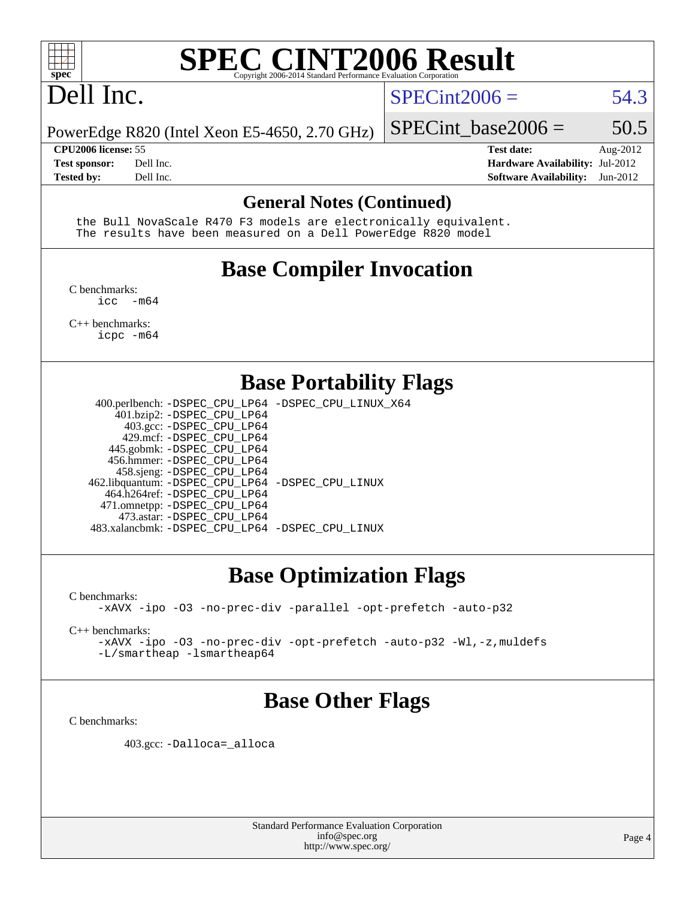

# Dell Inc.

### $SPECint2006 = 54.3$  $SPECint2006 = 54.3$

PowerEdge R820 (Intel Xeon E5-4650, 2.70 GHz)

**[Tested by:](http://www.spec.org/auto/cpu2006/Docs/result-fields.html#Testedby)** Dell Inc. **[Software Availability:](http://www.spec.org/auto/cpu2006/Docs/result-fields.html#SoftwareAvailability)** Jun-2012

**[CPU2006 license:](http://www.spec.org/auto/cpu2006/Docs/result-fields.html#CPU2006license)** 55 **[Test date:](http://www.spec.org/auto/cpu2006/Docs/result-fields.html#Testdate)** Aug-2012 **[Test sponsor:](http://www.spec.org/auto/cpu2006/Docs/result-fields.html#Testsponsor)** Dell Inc. **[Hardware Availability:](http://www.spec.org/auto/cpu2006/Docs/result-fields.html#HardwareAvailability)** Jul-2012

SPECint base2006 =  $50.5$ 

### **[General Notes \(Continued\)](http://www.spec.org/auto/cpu2006/Docs/result-fields.html#GeneralNotes)**

 the Bull NovaScale R470 F3 models are electronically equivalent. The results have been measured on a Dell PowerEdge R820 model

# **[Base Compiler Invocation](http://www.spec.org/auto/cpu2006/Docs/result-fields.html#BaseCompilerInvocation)**

[C benchmarks](http://www.spec.org/auto/cpu2006/Docs/result-fields.html#Cbenchmarks):  $inc - m64$ 

[C++ benchmarks:](http://www.spec.org/auto/cpu2006/Docs/result-fields.html#CXXbenchmarks) [icpc -m64](http://www.spec.org/cpu2006/results/res2012q3/cpu2006-20120814-24235.flags.html#user_CXXbase_intel_icpc_64bit_fc66a5337ce925472a5c54ad6a0de310)

## **[Base Portability Flags](http://www.spec.org/auto/cpu2006/Docs/result-fields.html#BasePortabilityFlags)**

 400.perlbench: [-DSPEC\\_CPU\\_LP64](http://www.spec.org/cpu2006/results/res2012q3/cpu2006-20120814-24235.flags.html#b400.perlbench_basePORTABILITY_DSPEC_CPU_LP64) [-DSPEC\\_CPU\\_LINUX\\_X64](http://www.spec.org/cpu2006/results/res2012q3/cpu2006-20120814-24235.flags.html#b400.perlbench_baseCPORTABILITY_DSPEC_CPU_LINUX_X64) 401.bzip2: [-DSPEC\\_CPU\\_LP64](http://www.spec.org/cpu2006/results/res2012q3/cpu2006-20120814-24235.flags.html#suite_basePORTABILITY401_bzip2_DSPEC_CPU_LP64) 403.gcc: [-DSPEC\\_CPU\\_LP64](http://www.spec.org/cpu2006/results/res2012q3/cpu2006-20120814-24235.flags.html#suite_basePORTABILITY403_gcc_DSPEC_CPU_LP64) 429.mcf: [-DSPEC\\_CPU\\_LP64](http://www.spec.org/cpu2006/results/res2012q3/cpu2006-20120814-24235.flags.html#suite_basePORTABILITY429_mcf_DSPEC_CPU_LP64) 445.gobmk: [-DSPEC\\_CPU\\_LP64](http://www.spec.org/cpu2006/results/res2012q3/cpu2006-20120814-24235.flags.html#suite_basePORTABILITY445_gobmk_DSPEC_CPU_LP64) 456.hmmer: [-DSPEC\\_CPU\\_LP64](http://www.spec.org/cpu2006/results/res2012q3/cpu2006-20120814-24235.flags.html#suite_basePORTABILITY456_hmmer_DSPEC_CPU_LP64) 458.sjeng: [-DSPEC\\_CPU\\_LP64](http://www.spec.org/cpu2006/results/res2012q3/cpu2006-20120814-24235.flags.html#suite_basePORTABILITY458_sjeng_DSPEC_CPU_LP64) 462.libquantum: [-DSPEC\\_CPU\\_LP64](http://www.spec.org/cpu2006/results/res2012q3/cpu2006-20120814-24235.flags.html#suite_basePORTABILITY462_libquantum_DSPEC_CPU_LP64) [-DSPEC\\_CPU\\_LINUX](http://www.spec.org/cpu2006/results/res2012q3/cpu2006-20120814-24235.flags.html#b462.libquantum_baseCPORTABILITY_DSPEC_CPU_LINUX) 464.h264ref: [-DSPEC\\_CPU\\_LP64](http://www.spec.org/cpu2006/results/res2012q3/cpu2006-20120814-24235.flags.html#suite_basePORTABILITY464_h264ref_DSPEC_CPU_LP64) 471.omnetpp: [-DSPEC\\_CPU\\_LP64](http://www.spec.org/cpu2006/results/res2012q3/cpu2006-20120814-24235.flags.html#suite_basePORTABILITY471_omnetpp_DSPEC_CPU_LP64) 473.astar: [-DSPEC\\_CPU\\_LP64](http://www.spec.org/cpu2006/results/res2012q3/cpu2006-20120814-24235.flags.html#suite_basePORTABILITY473_astar_DSPEC_CPU_LP64) 483.xalancbmk: [-DSPEC\\_CPU\\_LP64](http://www.spec.org/cpu2006/results/res2012q3/cpu2006-20120814-24235.flags.html#suite_basePORTABILITY483_xalancbmk_DSPEC_CPU_LP64) [-DSPEC\\_CPU\\_LINUX](http://www.spec.org/cpu2006/results/res2012q3/cpu2006-20120814-24235.flags.html#b483.xalancbmk_baseCXXPORTABILITY_DSPEC_CPU_LINUX)

# **[Base Optimization Flags](http://www.spec.org/auto/cpu2006/Docs/result-fields.html#BaseOptimizationFlags)**

[C benchmarks](http://www.spec.org/auto/cpu2006/Docs/result-fields.html#Cbenchmarks):

[-xAVX](http://www.spec.org/cpu2006/results/res2012q3/cpu2006-20120814-24235.flags.html#user_CCbase_f-xAVX) [-ipo](http://www.spec.org/cpu2006/results/res2012q3/cpu2006-20120814-24235.flags.html#user_CCbase_f-ipo) [-O3](http://www.spec.org/cpu2006/results/res2012q3/cpu2006-20120814-24235.flags.html#user_CCbase_f-O3) [-no-prec-div](http://www.spec.org/cpu2006/results/res2012q3/cpu2006-20120814-24235.flags.html#user_CCbase_f-no-prec-div) [-parallel](http://www.spec.org/cpu2006/results/res2012q3/cpu2006-20120814-24235.flags.html#user_CCbase_f-parallel) [-opt-prefetch](http://www.spec.org/cpu2006/results/res2012q3/cpu2006-20120814-24235.flags.html#user_CCbase_f-opt-prefetch) [-auto-p32](http://www.spec.org/cpu2006/results/res2012q3/cpu2006-20120814-24235.flags.html#user_CCbase_f-auto-p32)

[C++ benchmarks:](http://www.spec.org/auto/cpu2006/Docs/result-fields.html#CXXbenchmarks)

[-xAVX](http://www.spec.org/cpu2006/results/res2012q3/cpu2006-20120814-24235.flags.html#user_CXXbase_f-xAVX) [-ipo](http://www.spec.org/cpu2006/results/res2012q3/cpu2006-20120814-24235.flags.html#user_CXXbase_f-ipo) [-O3](http://www.spec.org/cpu2006/results/res2012q3/cpu2006-20120814-24235.flags.html#user_CXXbase_f-O3) [-no-prec-div](http://www.spec.org/cpu2006/results/res2012q3/cpu2006-20120814-24235.flags.html#user_CXXbase_f-no-prec-div) [-opt-prefetch](http://www.spec.org/cpu2006/results/res2012q3/cpu2006-20120814-24235.flags.html#user_CXXbase_f-opt-prefetch) [-auto-p32](http://www.spec.org/cpu2006/results/res2012q3/cpu2006-20120814-24235.flags.html#user_CXXbase_f-auto-p32) [-Wl,-z,muldefs](http://www.spec.org/cpu2006/results/res2012q3/cpu2006-20120814-24235.flags.html#user_CXXbase_link_force_multiple1_74079c344b956b9658436fd1b6dd3a8a) [-L/smartheap -lsmartheap64](http://www.spec.org/cpu2006/results/res2012q3/cpu2006-20120814-24235.flags.html#user_CXXbase_SmartHeap64_5e654037dadeae1fe403ab4b4466e60b)

## **[Base Other Flags](http://www.spec.org/auto/cpu2006/Docs/result-fields.html#BaseOtherFlags)**

[C benchmarks](http://www.spec.org/auto/cpu2006/Docs/result-fields.html#Cbenchmarks):

403.gcc: [-Dalloca=\\_alloca](http://www.spec.org/cpu2006/results/res2012q3/cpu2006-20120814-24235.flags.html#b403.gcc_baseEXTRA_CFLAGS_Dalloca_be3056838c12de2578596ca5467af7f3)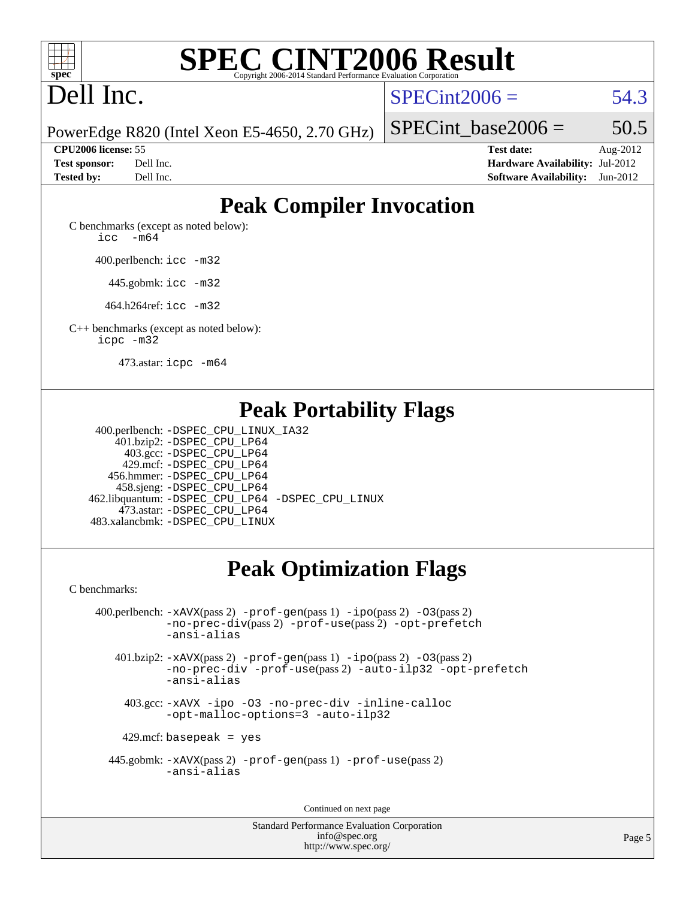

# Dell Inc.

 $SPECint2006 = 54.3$  $SPECint2006 = 54.3$ 

PowerEdge R820 (Intel Xeon E5-4650, 2.70 GHz)

**[Test sponsor:](http://www.spec.org/auto/cpu2006/Docs/result-fields.html#Testsponsor)** Dell Inc. **[Hardware Availability:](http://www.spec.org/auto/cpu2006/Docs/result-fields.html#HardwareAvailability)** Jul-2012 **[Tested by:](http://www.spec.org/auto/cpu2006/Docs/result-fields.html#Testedby)** Dell Inc. **[Software Availability:](http://www.spec.org/auto/cpu2006/Docs/result-fields.html#SoftwareAvailability)** Jun-2012

SPECint base2006 =  $50.5$ **[CPU2006 license:](http://www.spec.org/auto/cpu2006/Docs/result-fields.html#CPU2006license)** 55 **[Test date:](http://www.spec.org/auto/cpu2006/Docs/result-fields.html#Testdate)** Aug-2012

# **[Peak Compiler Invocation](http://www.spec.org/auto/cpu2006/Docs/result-fields.html#PeakCompilerInvocation)**

[C benchmarks \(except as noted below\)](http://www.spec.org/auto/cpu2006/Docs/result-fields.html#Cbenchmarksexceptasnotedbelow): [icc -m64](http://www.spec.org/cpu2006/results/res2012q3/cpu2006-20120814-24235.flags.html#user_CCpeak_intel_icc_64bit_f346026e86af2a669e726fe758c88044)

400.perlbench: [icc -m32](http://www.spec.org/cpu2006/results/res2012q3/cpu2006-20120814-24235.flags.html#user_peakCCLD400_perlbench_intel_icc_a6a621f8d50482236b970c6ac5f55f93)

445.gobmk: [icc -m32](http://www.spec.org/cpu2006/results/res2012q3/cpu2006-20120814-24235.flags.html#user_peakCCLD445_gobmk_intel_icc_a6a621f8d50482236b970c6ac5f55f93)

464.h264ref: [icc -m32](http://www.spec.org/cpu2006/results/res2012q3/cpu2006-20120814-24235.flags.html#user_peakCCLD464_h264ref_intel_icc_a6a621f8d50482236b970c6ac5f55f93)

[C++ benchmarks \(except as noted below\):](http://www.spec.org/auto/cpu2006/Docs/result-fields.html#CXXbenchmarksexceptasnotedbelow) [icpc -m32](http://www.spec.org/cpu2006/results/res2012q3/cpu2006-20120814-24235.flags.html#user_CXXpeak_intel_icpc_4e5a5ef1a53fd332b3c49e69c3330699)

473.astar: [icpc -m64](http://www.spec.org/cpu2006/results/res2012q3/cpu2006-20120814-24235.flags.html#user_peakCXXLD473_astar_intel_icpc_64bit_fc66a5337ce925472a5c54ad6a0de310)

## **[Peak Portability Flags](http://www.spec.org/auto/cpu2006/Docs/result-fields.html#PeakPortabilityFlags)**

 400.perlbench: [-DSPEC\\_CPU\\_LINUX\\_IA32](http://www.spec.org/cpu2006/results/res2012q3/cpu2006-20120814-24235.flags.html#b400.perlbench_peakCPORTABILITY_DSPEC_CPU_LINUX_IA32) 401.bzip2: [-DSPEC\\_CPU\\_LP64](http://www.spec.org/cpu2006/results/res2012q3/cpu2006-20120814-24235.flags.html#suite_peakPORTABILITY401_bzip2_DSPEC_CPU_LP64) 403.gcc: [-DSPEC\\_CPU\\_LP64](http://www.spec.org/cpu2006/results/res2012q3/cpu2006-20120814-24235.flags.html#suite_peakPORTABILITY403_gcc_DSPEC_CPU_LP64) 429.mcf: [-DSPEC\\_CPU\\_LP64](http://www.spec.org/cpu2006/results/res2012q3/cpu2006-20120814-24235.flags.html#suite_peakPORTABILITY429_mcf_DSPEC_CPU_LP64) 456.hmmer: [-DSPEC\\_CPU\\_LP64](http://www.spec.org/cpu2006/results/res2012q3/cpu2006-20120814-24235.flags.html#suite_peakPORTABILITY456_hmmer_DSPEC_CPU_LP64) 458.sjeng: [-DSPEC\\_CPU\\_LP64](http://www.spec.org/cpu2006/results/res2012q3/cpu2006-20120814-24235.flags.html#suite_peakPORTABILITY458_sjeng_DSPEC_CPU_LP64) 462.libquantum: [-DSPEC\\_CPU\\_LP64](http://www.spec.org/cpu2006/results/res2012q3/cpu2006-20120814-24235.flags.html#suite_peakPORTABILITY462_libquantum_DSPEC_CPU_LP64) [-DSPEC\\_CPU\\_LINUX](http://www.spec.org/cpu2006/results/res2012q3/cpu2006-20120814-24235.flags.html#b462.libquantum_peakCPORTABILITY_DSPEC_CPU_LINUX) 473.astar: [-DSPEC\\_CPU\\_LP64](http://www.spec.org/cpu2006/results/res2012q3/cpu2006-20120814-24235.flags.html#suite_peakPORTABILITY473_astar_DSPEC_CPU_LP64) 483.xalancbmk: [-DSPEC\\_CPU\\_LINUX](http://www.spec.org/cpu2006/results/res2012q3/cpu2006-20120814-24235.flags.html#b483.xalancbmk_peakCXXPORTABILITY_DSPEC_CPU_LINUX)

# **[Peak Optimization Flags](http://www.spec.org/auto/cpu2006/Docs/result-fields.html#PeakOptimizationFlags)**

[C benchmarks](http://www.spec.org/auto/cpu2006/Docs/result-fields.html#Cbenchmarks):

 400.perlbench: [-xAVX](http://www.spec.org/cpu2006/results/res2012q3/cpu2006-20120814-24235.flags.html#user_peakPASS2_CFLAGSPASS2_LDCFLAGS400_perlbench_f-xAVX)(pass 2) [-prof-gen](http://www.spec.org/cpu2006/results/res2012q3/cpu2006-20120814-24235.flags.html#user_peakPASS1_CFLAGSPASS1_LDCFLAGS400_perlbench_prof_gen_e43856698f6ca7b7e442dfd80e94a8fc)(pass 1) [-ipo](http://www.spec.org/cpu2006/results/res2012q3/cpu2006-20120814-24235.flags.html#user_peakPASS2_CFLAGSPASS2_LDCFLAGS400_perlbench_f-ipo)(pass 2) [-O3](http://www.spec.org/cpu2006/results/res2012q3/cpu2006-20120814-24235.flags.html#user_peakPASS2_CFLAGSPASS2_LDCFLAGS400_perlbench_f-O3)(pass 2) [-no-prec-div](http://www.spec.org/cpu2006/results/res2012q3/cpu2006-20120814-24235.flags.html#user_peakPASS2_CFLAGSPASS2_LDCFLAGS400_perlbench_f-no-prec-div)(pass 2) [-prof-use](http://www.spec.org/cpu2006/results/res2012q3/cpu2006-20120814-24235.flags.html#user_peakPASS2_CFLAGSPASS2_LDCFLAGS400_perlbench_prof_use_bccf7792157ff70d64e32fe3e1250b55)(pass 2) [-opt-prefetch](http://www.spec.org/cpu2006/results/res2012q3/cpu2006-20120814-24235.flags.html#user_peakCOPTIMIZE400_perlbench_f-opt-prefetch) [-ansi-alias](http://www.spec.org/cpu2006/results/res2012q3/cpu2006-20120814-24235.flags.html#user_peakCOPTIMIZE400_perlbench_f-ansi-alias) 401.bzip2: [-xAVX](http://www.spec.org/cpu2006/results/res2012q3/cpu2006-20120814-24235.flags.html#user_peakPASS2_CFLAGSPASS2_LDCFLAGS401_bzip2_f-xAVX)(pass 2) [-prof-gen](http://www.spec.org/cpu2006/results/res2012q3/cpu2006-20120814-24235.flags.html#user_peakPASS1_CFLAGSPASS1_LDCFLAGS401_bzip2_prof_gen_e43856698f6ca7b7e442dfd80e94a8fc)(pass 1) [-ipo](http://www.spec.org/cpu2006/results/res2012q3/cpu2006-20120814-24235.flags.html#user_peakPASS2_CFLAGSPASS2_LDCFLAGS401_bzip2_f-ipo)(pass 2) [-O3](http://www.spec.org/cpu2006/results/res2012q3/cpu2006-20120814-24235.flags.html#user_peakPASS2_CFLAGSPASS2_LDCFLAGS401_bzip2_f-O3)(pass 2) [-no-prec-div](http://www.spec.org/cpu2006/results/res2012q3/cpu2006-20120814-24235.flags.html#user_peakCOPTIMIZEPASS2_CFLAGSPASS2_LDCFLAGS401_bzip2_f-no-prec-div) [-prof-use](http://www.spec.org/cpu2006/results/res2012q3/cpu2006-20120814-24235.flags.html#user_peakPASS2_CFLAGSPASS2_LDCFLAGS401_bzip2_prof_use_bccf7792157ff70d64e32fe3e1250b55)(pass 2) [-auto-ilp32](http://www.spec.org/cpu2006/results/res2012q3/cpu2006-20120814-24235.flags.html#user_peakCOPTIMIZE401_bzip2_f-auto-ilp32) [-opt-prefetch](http://www.spec.org/cpu2006/results/res2012q3/cpu2006-20120814-24235.flags.html#user_peakCOPTIMIZE401_bzip2_f-opt-prefetch) [-ansi-alias](http://www.spec.org/cpu2006/results/res2012q3/cpu2006-20120814-24235.flags.html#user_peakCOPTIMIZE401_bzip2_f-ansi-alias) 403.gcc: [-xAVX](http://www.spec.org/cpu2006/results/res2012q3/cpu2006-20120814-24235.flags.html#user_peakCOPTIMIZE403_gcc_f-xAVX) [-ipo](http://www.spec.org/cpu2006/results/res2012q3/cpu2006-20120814-24235.flags.html#user_peakCOPTIMIZE403_gcc_f-ipo) [-O3](http://www.spec.org/cpu2006/results/res2012q3/cpu2006-20120814-24235.flags.html#user_peakCOPTIMIZE403_gcc_f-O3) [-no-prec-div](http://www.spec.org/cpu2006/results/res2012q3/cpu2006-20120814-24235.flags.html#user_peakCOPTIMIZE403_gcc_f-no-prec-div) [-inline-calloc](http://www.spec.org/cpu2006/results/res2012q3/cpu2006-20120814-24235.flags.html#user_peakCOPTIMIZE403_gcc_f-inline-calloc) [-opt-malloc-options=3](http://www.spec.org/cpu2006/results/res2012q3/cpu2006-20120814-24235.flags.html#user_peakCOPTIMIZE403_gcc_f-opt-malloc-options_13ab9b803cf986b4ee62f0a5998c2238) [-auto-ilp32](http://www.spec.org/cpu2006/results/res2012q3/cpu2006-20120814-24235.flags.html#user_peakCOPTIMIZE403_gcc_f-auto-ilp32)

 $429$ .mcf: basepeak = yes

 445.gobmk: [-xAVX](http://www.spec.org/cpu2006/results/res2012q3/cpu2006-20120814-24235.flags.html#user_peakPASS2_CFLAGSPASS2_LDCFLAGS445_gobmk_f-xAVX)(pass 2) [-prof-gen](http://www.spec.org/cpu2006/results/res2012q3/cpu2006-20120814-24235.flags.html#user_peakPASS1_CFLAGSPASS1_LDCFLAGS445_gobmk_prof_gen_e43856698f6ca7b7e442dfd80e94a8fc)(pass 1) [-prof-use](http://www.spec.org/cpu2006/results/res2012q3/cpu2006-20120814-24235.flags.html#user_peakPASS2_CFLAGSPASS2_LDCFLAGS445_gobmk_prof_use_bccf7792157ff70d64e32fe3e1250b55)(pass 2) [-ansi-alias](http://www.spec.org/cpu2006/results/res2012q3/cpu2006-20120814-24235.flags.html#user_peakCOPTIMIZE445_gobmk_f-ansi-alias)

Continued on next page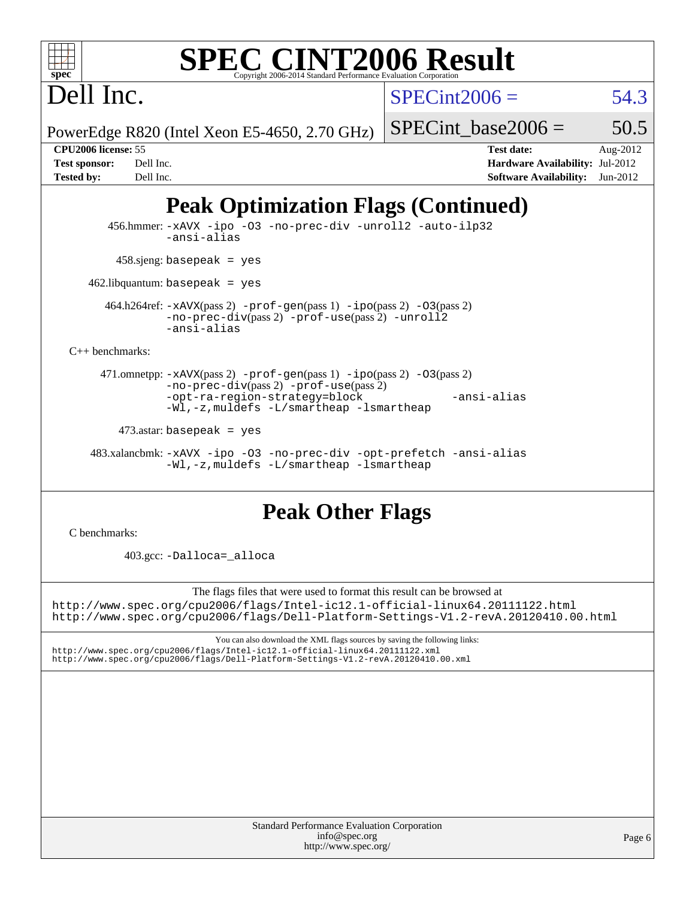Dell Inc.

 $SPECint2006 = 54.3$  $SPECint2006 = 54.3$ 

PowerEdge R820 (Intel Xeon E5-4650, 2.70 GHz)

SPECint base2006 =  $50.5$ 

**[Tested by:](http://www.spec.org/auto/cpu2006/Docs/result-fields.html#Testedby)** Dell Inc. **[Software Availability:](http://www.spec.org/auto/cpu2006/Docs/result-fields.html#SoftwareAvailability)** Jun-2012

**[CPU2006 license:](http://www.spec.org/auto/cpu2006/Docs/result-fields.html#CPU2006license)** 55 **[Test date:](http://www.spec.org/auto/cpu2006/Docs/result-fields.html#Testdate)** Aug-2012 **[Test sponsor:](http://www.spec.org/auto/cpu2006/Docs/result-fields.html#Testsponsor)** Dell Inc. **[Hardware Availability:](http://www.spec.org/auto/cpu2006/Docs/result-fields.html#HardwareAvailability)** Jul-2012

# **[Peak Optimization Flags \(Continued\)](http://www.spec.org/auto/cpu2006/Docs/result-fields.html#PeakOptimizationFlags)**

 456.hmmer: [-xAVX](http://www.spec.org/cpu2006/results/res2012q3/cpu2006-20120814-24235.flags.html#user_peakCOPTIMIZE456_hmmer_f-xAVX) [-ipo](http://www.spec.org/cpu2006/results/res2012q3/cpu2006-20120814-24235.flags.html#user_peakCOPTIMIZE456_hmmer_f-ipo) [-O3](http://www.spec.org/cpu2006/results/res2012q3/cpu2006-20120814-24235.flags.html#user_peakCOPTIMIZE456_hmmer_f-O3) [-no-prec-div](http://www.spec.org/cpu2006/results/res2012q3/cpu2006-20120814-24235.flags.html#user_peakCOPTIMIZE456_hmmer_f-no-prec-div) [-unroll2](http://www.spec.org/cpu2006/results/res2012q3/cpu2006-20120814-24235.flags.html#user_peakCOPTIMIZE456_hmmer_f-unroll_784dae83bebfb236979b41d2422d7ec2) [-auto-ilp32](http://www.spec.org/cpu2006/results/res2012q3/cpu2006-20120814-24235.flags.html#user_peakCOPTIMIZE456_hmmer_f-auto-ilp32) [-ansi-alias](http://www.spec.org/cpu2006/results/res2012q3/cpu2006-20120814-24235.flags.html#user_peakCOPTIMIZE456_hmmer_f-ansi-alias)  $458 \text{.}$ sjeng: basepeak = yes 462.libquantum: basepeak = yes 464.h264ref: [-xAVX](http://www.spec.org/cpu2006/results/res2012q3/cpu2006-20120814-24235.flags.html#user_peakPASS2_CFLAGSPASS2_LDCFLAGS464_h264ref_f-xAVX)(pass 2) [-prof-gen](http://www.spec.org/cpu2006/results/res2012q3/cpu2006-20120814-24235.flags.html#user_peakPASS1_CFLAGSPASS1_LDCFLAGS464_h264ref_prof_gen_e43856698f6ca7b7e442dfd80e94a8fc)(pass 1) [-ipo](http://www.spec.org/cpu2006/results/res2012q3/cpu2006-20120814-24235.flags.html#user_peakPASS2_CFLAGSPASS2_LDCFLAGS464_h264ref_f-ipo)(pass 2) [-O3](http://www.spec.org/cpu2006/results/res2012q3/cpu2006-20120814-24235.flags.html#user_peakPASS2_CFLAGSPASS2_LDCFLAGS464_h264ref_f-O3)(pass 2) [-no-prec-div](http://www.spec.org/cpu2006/results/res2012q3/cpu2006-20120814-24235.flags.html#user_peakPASS2_CFLAGSPASS2_LDCFLAGS464_h264ref_f-no-prec-div)(pass 2) [-prof-use](http://www.spec.org/cpu2006/results/res2012q3/cpu2006-20120814-24235.flags.html#user_peakPASS2_CFLAGSPASS2_LDCFLAGS464_h264ref_prof_use_bccf7792157ff70d64e32fe3e1250b55)(pass 2) [-unroll2](http://www.spec.org/cpu2006/results/res2012q3/cpu2006-20120814-24235.flags.html#user_peakCOPTIMIZE464_h264ref_f-unroll_784dae83bebfb236979b41d2422d7ec2) [-ansi-alias](http://www.spec.org/cpu2006/results/res2012q3/cpu2006-20120814-24235.flags.html#user_peakCOPTIMIZE464_h264ref_f-ansi-alias) [C++ benchmarks:](http://www.spec.org/auto/cpu2006/Docs/result-fields.html#CXXbenchmarks) 471.omnetpp: [-xAVX](http://www.spec.org/cpu2006/results/res2012q3/cpu2006-20120814-24235.flags.html#user_peakPASS2_CXXFLAGSPASS2_LDCXXFLAGS471_omnetpp_f-xAVX)(pass 2) [-prof-gen](http://www.spec.org/cpu2006/results/res2012q3/cpu2006-20120814-24235.flags.html#user_peakPASS1_CXXFLAGSPASS1_LDCXXFLAGS471_omnetpp_prof_gen_e43856698f6ca7b7e442dfd80e94a8fc)(pass 1) [-ipo](http://www.spec.org/cpu2006/results/res2012q3/cpu2006-20120814-24235.flags.html#user_peakPASS2_CXXFLAGSPASS2_LDCXXFLAGS471_omnetpp_f-ipo)(pass 2) [-O3](http://www.spec.org/cpu2006/results/res2012q3/cpu2006-20120814-24235.flags.html#user_peakPASS2_CXXFLAGSPASS2_LDCXXFLAGS471_omnetpp_f-O3)(pass 2) [-no-prec-div](http://www.spec.org/cpu2006/results/res2012q3/cpu2006-20120814-24235.flags.html#user_peakPASS2_CXXFLAGSPASS2_LDCXXFLAGS471_omnetpp_f-no-prec-div)(pass 2) [-prof-use](http://www.spec.org/cpu2006/results/res2012q3/cpu2006-20120814-24235.flags.html#user_peakPASS2_CXXFLAGSPASS2_LDCXXFLAGS471_omnetpp_prof_use_bccf7792157ff70d64e32fe3e1250b55)(pass 2) [-opt-ra-region-strategy=block](http://www.spec.org/cpu2006/results/res2012q3/cpu2006-20120814-24235.flags.html#user_peakCXXOPTIMIZE471_omnetpp_f-opt-ra-region-strategy_5382940c29ea30302d682fc74bfe0147) [-ansi-alias](http://www.spec.org/cpu2006/results/res2012q3/cpu2006-20120814-24235.flags.html#user_peakCXXOPTIMIZE471_omnetpp_f-ansi-alias) [-Wl,-z,muldefs](http://www.spec.org/cpu2006/results/res2012q3/cpu2006-20120814-24235.flags.html#user_peakEXTRA_LDFLAGS471_omnetpp_link_force_multiple1_74079c344b956b9658436fd1b6dd3a8a) [-L/smartheap -lsmartheap](http://www.spec.org/cpu2006/results/res2012q3/cpu2006-20120814-24235.flags.html#user_peakEXTRA_LIBS471_omnetpp_SmartHeap_7c9e394a5779e1a7fec7c221e123830c)  $473$ .astar: basepeak = yes 483.xalancbmk: [-xAVX](http://www.spec.org/cpu2006/results/res2012q3/cpu2006-20120814-24235.flags.html#user_peakCXXOPTIMIZE483_xalancbmk_f-xAVX) [-ipo](http://www.spec.org/cpu2006/results/res2012q3/cpu2006-20120814-24235.flags.html#user_peakCXXOPTIMIZE483_xalancbmk_f-ipo) [-O3](http://www.spec.org/cpu2006/results/res2012q3/cpu2006-20120814-24235.flags.html#user_peakCXXOPTIMIZE483_xalancbmk_f-O3) [-no-prec-div](http://www.spec.org/cpu2006/results/res2012q3/cpu2006-20120814-24235.flags.html#user_peakCXXOPTIMIZE483_xalancbmk_f-no-prec-div) [-opt-prefetch](http://www.spec.org/cpu2006/results/res2012q3/cpu2006-20120814-24235.flags.html#user_peakCXXOPTIMIZE483_xalancbmk_f-opt-prefetch) [-ansi-alias](http://www.spec.org/cpu2006/results/res2012q3/cpu2006-20120814-24235.flags.html#user_peakCXXOPTIMIZE483_xalancbmk_f-ansi-alias) [-Wl,-z,muldefs](http://www.spec.org/cpu2006/results/res2012q3/cpu2006-20120814-24235.flags.html#user_peakEXTRA_LDFLAGS483_xalancbmk_link_force_multiple1_74079c344b956b9658436fd1b6dd3a8a) [-L/smartheap -lsmartheap](http://www.spec.org/cpu2006/results/res2012q3/cpu2006-20120814-24235.flags.html#user_peakEXTRA_LIBS483_xalancbmk_SmartHeap_7c9e394a5779e1a7fec7c221e123830c)

# **[Peak Other Flags](http://www.spec.org/auto/cpu2006/Docs/result-fields.html#PeakOtherFlags)**

[C benchmarks](http://www.spec.org/auto/cpu2006/Docs/result-fields.html#Cbenchmarks):

403.gcc: [-Dalloca=\\_alloca](http://www.spec.org/cpu2006/results/res2012q3/cpu2006-20120814-24235.flags.html#b403.gcc_peakEXTRA_CFLAGS_Dalloca_be3056838c12de2578596ca5467af7f3)

The flags files that were used to format this result can be browsed at <http://www.spec.org/cpu2006/flags/Intel-ic12.1-official-linux64.20111122.html> <http://www.spec.org/cpu2006/flags/Dell-Platform-Settings-V1.2-revA.20120410.00.html>

You can also download the XML flags sources by saving the following links: <http://www.spec.org/cpu2006/flags/Intel-ic12.1-official-linux64.20111122.xml> <http://www.spec.org/cpu2006/flags/Dell-Platform-Settings-V1.2-revA.20120410.00.xml>

| <b>Standard Performance Evaluation Corporation</b> |
|----------------------------------------------------|
| info@spec.org                                      |
| http://www.spec.org/                               |